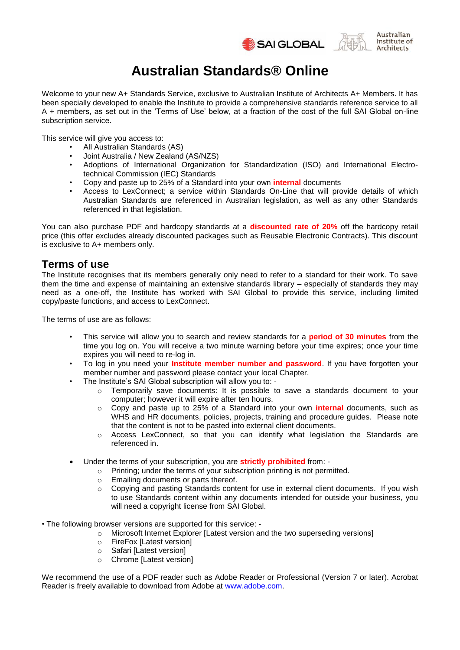



# **Australian Standards® Online**

Welcome to your new A+ Standards Service, exclusive to Australian Institute of Architects A+ Members. It has been specially developed to enable the Institute to provide a comprehensive standards reference service to all A + members, as set out in the 'Terms of Use' below, at a fraction of the cost of the full SAI Global on-line subscription service.

This service will give you access to:

- All Australian Standards (AS)
- Joint Australia / New Zealand (AS/NZS)<br>• Adoptions of International Organization
- Adoptions of International Organization for Standardization (ISO) and International Electrotechnical Commission (IEC) Standards
- Copy and paste up to 25% of a Standard into your own **internal** documents
- Access to LexConnect; a service within Standards On-Line that will provide details of which Australian Standards are referenced in Australian legislation, as well as any other Standards referenced in that legislation.

You can also purchase PDF and hardcopy standards at a **discounted rate of 20%** off the hardcopy retail price (this offer excludes already discounted packages such as Reusable Electronic Contracts). This discount is exclusive to A+ members only.

# **Terms of use**

The Institute recognises that its members generally only need to refer to a standard for their work. To save them the time and expense of maintaining an extensive standards library – especially of standards they may need as a one-off, the Institute has worked with SAI Global to provide this service, including limited copy/paste functions, and access to LexConnect.

The terms of use are as follows:

- This service will allow you to search and review standards for a **period of 30 minutes** from the time you log on. You will receive a two minute warning before your time expires; once your time expires you will need to re-log in.
- To log in you need your **Institute member number and password**. If you have forgotten your member number and password please contact your local Chapter.
- The Institute's SAI Global subscription will allow you to:
	- $\circ$  Temporarily save documents: It is possible to save a standards document to your computer; however it will expire after ten hours.
	- o Copy and paste up to 25% of a Standard into your own **internal** documents, such as WHS and HR documents, policies, projects, training and procedure guides. Please note that the content is not to be pasted into external client documents.
	- o Access LexConnect, so that you can identify what legislation the Standards are referenced in.
- Under the terms of your subscription, you are **strictly prohibited** from:
	- o Printing; under the terms of your subscription printing is not permitted.
	- o Emailing documents or parts thereof.
	- o Copying and pasting Standards content for use in external client documents. If you wish to use Standards content within any documents intended for outside your business, you will need a copyright license from SAI Global.
- The following browser versions are supported for this service:
	- o Microsoft Internet Explorer [Latest version and the two superseding versions]
	- o FireFox [Latest version]
	- o Safari [Latest version]
	- o Chrome [Latest version]

We recommend the use of a PDF reader such as Adobe Reader or Professional (Version 7 or later). Acrobat Reader is freely available to download from Adobe at [www.adobe.com.](file:///C:/Users/moojam0/Desktop/Building%20&%20Construction/AIA/www.adobe.com)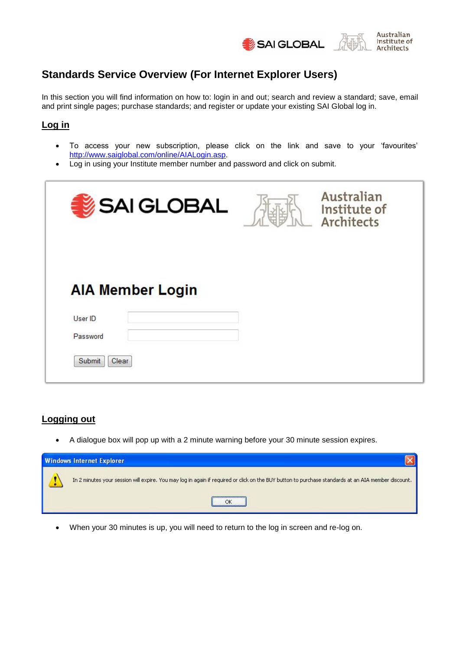



# **Standards Service Overview (For Internet Explorer Users)**

In this section you will find information on how to: login in and out; search and review a standard; save, email and print single pages; purchase standards; and register or update your existing SAI Global log in.

# **Log in**

- To access your new subscription, please click on the link and save to your 'favourites' [http://www.saiglobal.com/online/AIALogin.asp.](http://www.saiglobal.com/online/AIALogin.asp)
- Log in using your Institute member number and password and click on submit.

| SAI GLOBAL              | Australian<br>Institute of<br>Architects |
|-------------------------|------------------------------------------|
| <b>AIA Member Login</b> |                                          |
| User ID                 |                                          |
| Password                |                                          |
| Submit<br>Clear         |                                          |

### **Logging out**

A dialogue box will pop up with a 2 minute warning before your 30 minute session expires.



When your 30 minutes is up, you will need to return to the log in screen and re-log on.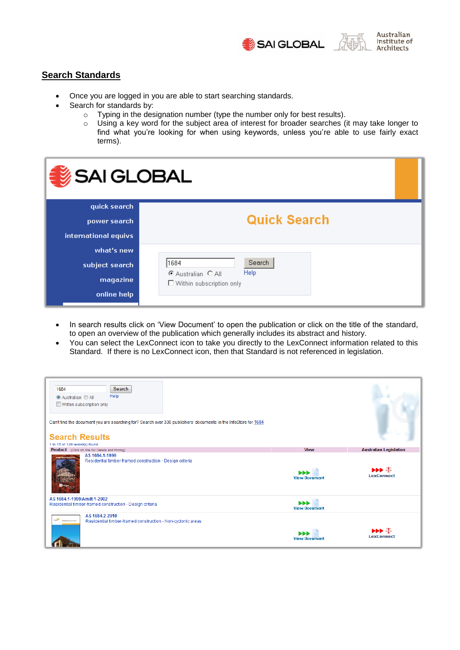



### **Search Standards**

- Once you are logged in you are able to start searching standards.
- Search for standards by:
	- o Typing in the designation number (type the number only for best results).
	- o Using a key word for the subject area of interest for broader searches (it may take longer to find what you're looking for when using keywords, unless you're able to use fairly exact terms).

| SAI GLOBAL           |                                              |  |
|----------------------|----------------------------------------------|--|
| quick search         |                                              |  |
| power search         | <b>Quick Search</b>                          |  |
| international equivs |                                              |  |
| what's new           |                                              |  |
| subject search       | Search<br>1684<br>Help<br>C Australian C All |  |
| magazine             | $\Box$ Within subscription only              |  |
| online help          |                                              |  |

- In search results click on 'View Document' to open the publication or click on the title of the standard, to open an overview of the publication which generally includes its abstract and history.
- You can select the LexConnect icon to take you directly to the LexConnect information related to this Standard. If there is no LexConnect icon, then that Standard is not referenced in legislation.

| Search<br>1684<br>Help<br><b>O</b> Australian <b>◎ All</b><br>Within subscription only<br>Can't find the document you are searching for? Search over 330 publishers' documents in the InfoStore for 1684<br><b>Search Results</b><br>1 to 15 of 129 record(s) found. |                           |                                                                                                       |
|----------------------------------------------------------------------------------------------------------------------------------------------------------------------------------------------------------------------------------------------------------------------|---------------------------|-------------------------------------------------------------------------------------------------------|
| <b>Product</b> (Click on title for Details and Pricing)                                                                                                                                                                                                              | <b>View</b>               | <b>Australian Legislation</b>                                                                         |
| AS 1684.1-1999<br>Residential timber-framed construction - Design criteria                                                                                                                                                                                           | ы<br><b>View Document</b> | $\blacktriangleright\blacktriangleright\blacktriangleright\blacktriangleright$ 4<br><b>LexConnect</b> |
| AS 1684.1-1999/Amdt 1-2002                                                                                                                                                                                                                                           |                           |                                                                                                       |
| Residential timber-framed construction - Design criteria                                                                                                                                                                                                             | Ы<br><b>View Document</b> |                                                                                                       |
| AS 1684.2-2010<br>Residential timber-framed construction - Non-cyclonic areas                                                                                                                                                                                        |                           |                                                                                                       |
|                                                                                                                                                                                                                                                                      | <b>View Document</b>      | $\rightarrow$ $\rightarrow$ $\frac{5}{6}$<br><b>LexConnect</b>                                        |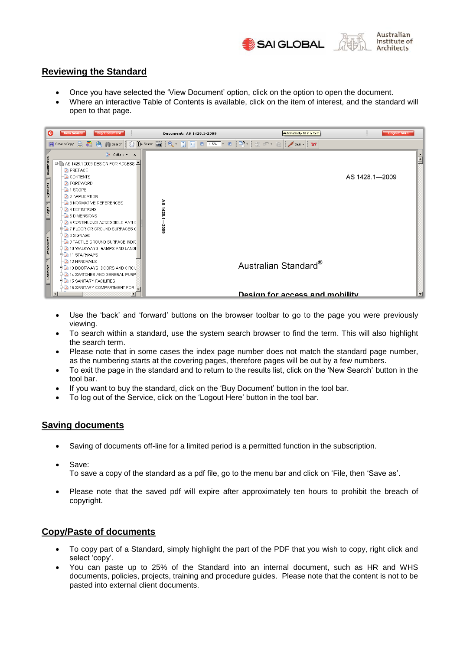

#### **Reviewing the Standard**

- Once you have selected the 'View Document' option, click on the option to open the document.
- Where an interactive Table of Contents is available, click on the item of interest, and the standard will open to that page.



- Use the 'back' and 'forward' buttons on the browser toolbar to go to the page you were previously viewing.
- To search within a standard, use the system search browser to find the term. This will also highlight the search term.
- Please note that in some cases the index page number does not match the standard page number, as the numbering starts at the covering pages, therefore pages will be out by a few numbers.
- To exit the page in the standard and to return to the results list, click on the 'New Search' button in the tool bar.
- If you want to buy the standard, click on the 'Buy Document' button in the tool bar.
- To log out of the Service, click on the 'Logout Here' button in the tool bar.

#### **Saving documents**

- Saving of documents off-line for a limited period is a permitted function in the subscription.
- Save:

To save a copy of the standard as a pdf file, go to the menu bar and click on 'File, then 'Save as'.

 Please note that the saved pdf will expire after approximately ten hours to prohibit the breach of copyright.

#### **Copy/Paste of documents**

- To copy part of a Standard, simply highlight the part of the PDF that you wish to copy, right click and select 'copy'.
- You can paste up to 25% of the Standard into an internal document, such as HR and WHS documents, policies, projects, training and procedure guides. Please note that the content is not to be pasted into external client documents.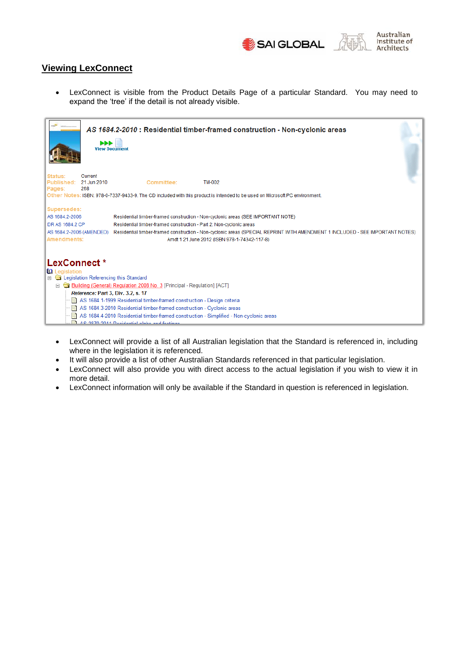



#### **Viewing LexConnect**

 LexConnect is visible from the Product Details Page of a particular Standard. You may need to expand the 'tree' if the detail is not already visible.

| <b>PPP</b>                                                                                                              | AS 1684.2-2010 : Residential timber-framed construction - Non-cyclonic areas<br><b>View Document</b>                                                                                                                                                                                                                                                                    |
|-------------------------------------------------------------------------------------------------------------------------|-------------------------------------------------------------------------------------------------------------------------------------------------------------------------------------------------------------------------------------------------------------------------------------------------------------------------------------------------------------------------|
| Current<br>Status:<br>Published: 21 Jun 2010<br>268<br>Pages:                                                           | Committee:<br><b>TM-002</b>                                                                                                                                                                                                                                                                                                                                             |
|                                                                                                                         | Other Notes: ISBN: 978-0-7337-9433-9. The CD included with this product is intended to be used on Microsoft PC environment.                                                                                                                                                                                                                                             |
| Supersedes:<br>AS 1684.2-2006<br>DR AS 1684.2 CP<br>AS 1684.2-2006 (AMENDED)<br>Amendments:                             | Residential timber-framed construction - Non-cyclonic areas (SEE IMPORTANT NOTE)<br>Residential timber-framed construction - Part 2: Non-cyclonic areas<br>Residential timber-framed construction - Non-cyclonic areas (SPECIAL REPRINT WITH AMENDMENT 1 INCLUDED - SEE IMPORTANT NOTES)<br>Amdt 1 21 June 2012 (ISBN 978-1-74342-117-8)                                |
| LexConnect*<br><b>La</b> Legislation<br>E & Legislation Referencing this Standard<br>Reference: Part 3, Div. 3.2, s. 17 | Building (General) Regulation 2008 No. 3 [Principal - Regulation] [ACT]<br>AS 1684.1-1999 Residential timber-framed construction - Design criteria<br>AS 1684.3-2010 Residential timber-framed construction - Cyclonic areas<br>AS 1684.4-2010 Residential timber-framed construction - Simplified - Non-cyclonic areas<br>A.C. 2070 2011 Depidential plake and facting |

- LexConnect will provide a list of all Australian legislation that the Standard is referenced in, including where in the legislation it is referenced.
- It will also provide a list of other Australian Standards referenced in that particular legislation.
- LexConnect will also provide you with direct access to the actual legislation if you wish to view it in more detail.
- LexConnect information will only be available if the Standard in question is referenced in legislation.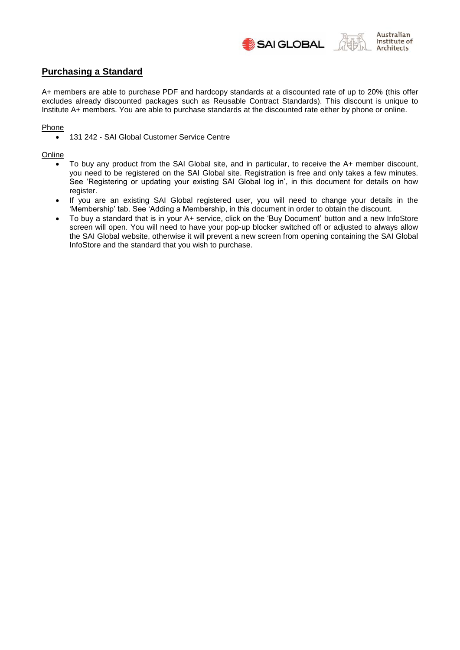



#### **Purchasing a Standard**

A+ members are able to purchase PDF and hardcopy standards at a discounted rate of up to 20% (this offer excludes already discounted packages such as Reusable Contract Standards). This discount is unique to Institute A+ members. You are able to purchase standards at the discounted rate either by phone or online.

#### Phone

• 131 242 - SAI Global Customer Service Centre

#### **Online**

- To buy any product from the SAI Global site, and in particular, to receive the A+ member discount, you need to be registered on the SAI Global site. Registration is free and only takes a few minutes. See 'Registering or updating your existing SAI Global log in', in this document for details on how register.
- If you are an existing SAI Global registered user, you will need to change your details in the 'Membership' tab. See 'Adding a Membership, in this document in order to obtain the discount.
- To buy a standard that is in your A+ service, click on the 'Buy Document' button and a new InfoStore screen will open. You will need to have your pop-up blocker switched off or adjusted to always allow the SAI Global website, otherwise it will prevent a new screen from opening containing the SAI Global InfoStore and the standard that you wish to purchase.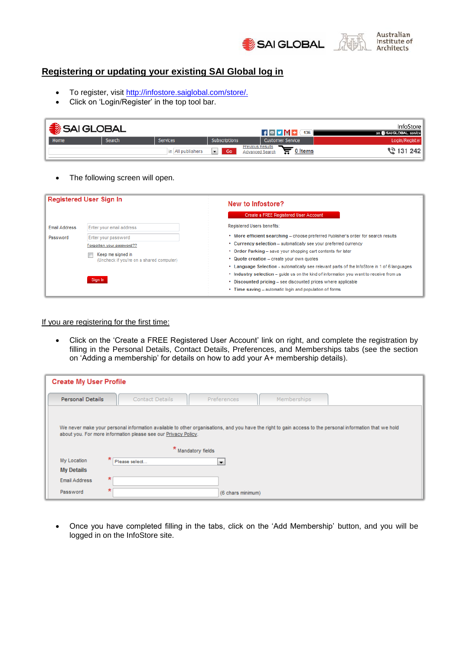



#### **Registering or updating your existing SAI Global log in**

- To register, visit [http://infostore.saiglobal.com/store/.](http://infostore.saiglobal.com/store/)
- Click on 'Login/Register' in the top tool bar.

| SAI GLOBAL |        |                   |                            | $\uparrow$ $\uparrow$ $\uparrow$ $\uparrow$ $\uparrow$ $\uparrow$ $\uparrow$ $\uparrow$ $\uparrow$ $\uparrow$ $\uparrow$ $\uparrow$ $\uparrow$ $\uparrow$ $\uparrow$ $\uparrow$ $\uparrow$ $\uparrow$ $\uparrow$ $\uparrow$ $\uparrow$ $\uparrow$ $\uparrow$ $\uparrow$ $\uparrow$ $\uparrow$ $\uparrow$ $\uparrow$ $\uparrow$ $\uparrow$ $\uparrow$ $\uparrow$ $\uparrow$ $\uparrow$ $\uparrow$ $\uparrow$ $\uparrow$ | InfoStore I<br>an <b>SAI GLOBAL</b> service |
|------------|--------|-------------------|----------------------------|------------------------------------------------------------------------------------------------------------------------------------------------------------------------------------------------------------------------------------------------------------------------------------------------------------------------------------------------------------------------------------------------------------------------|---------------------------------------------|
| Home       | Search | Services          | Subscriptions              | Customer Service                                                                                                                                                                                                                                                                                                                                                                                                       | Login/Register                              |
|            |        | in All publishers | $\vert \cdot \vert$<br>Go. | <b>Previous Results</b><br>0 Items<br>☶<br><b>Advanced Search</b>                                                                                                                                                                                                                                                                                                                                                      | ্রী 131 242                                 |

• The following screen will open.

| <b>Registered User Sign In</b>   |                                                                                                                                                          | New to Infostore?<br>Create a FREE Registered User Account                                                                                                                                                                                                                                                                                                                                                                                                                                                                                                                                                              |  |  |
|----------------------------------|----------------------------------------------------------------------------------------------------------------------------------------------------------|-------------------------------------------------------------------------------------------------------------------------------------------------------------------------------------------------------------------------------------------------------------------------------------------------------------------------------------------------------------------------------------------------------------------------------------------------------------------------------------------------------------------------------------------------------------------------------------------------------------------------|--|--|
| <b>Email Address</b><br>Password | Enter your email address<br>Enter your password<br>Forgotten your password??<br>Keep me signed in<br>(Uncheck if you're on a shared computer)<br>Sign In | Registered Users benefits:<br>. More efficient searching - choose preferred Publisher's order for search results<br>• Currency selection - automatically see your preferred currency<br>• Order Parking – save your shopping cart contents for later<br>• Quote creation – create your own quotes<br>• Language Selection - automatically see relevant parts of the InfoStore in 1 of 6 languages<br>• Industry selection – quide us on the kind of information you want to receive from us<br>• Discounted pricing – see discounted prices where applicable<br>• Time saving - automatic login and population of forms |  |  |

If you are registering for the first time:

 Click on the 'Create a FREE Registered User Account' link on right, and complete the registration by filling in the Personal Details, Contact Details, Preferences, and Memberships tabs (see the section on 'Adding a membership' for details on how to add your A+ membership details).

|                         | <b>Create My User Profile</b>                                                                                                                                                                                              |                          |             |  |  |
|-------------------------|----------------------------------------------------------------------------------------------------------------------------------------------------------------------------------------------------------------------------|--------------------------|-------------|--|--|
| <b>Personal Details</b> | <b>Contact Details</b>                                                                                                                                                                                                     | <b>Preferences</b>       | Memberships |  |  |
|                         |                                                                                                                                                                                                                            |                          |             |  |  |
|                         | We never make your personal information available to other organisations, and you have the right to gain access to the personal information that we hold<br>about you. For more information please see our Privacy Policy. |                          |             |  |  |
|                         | ×                                                                                                                                                                                                                          | Mandatory fields         |             |  |  |
| My Location             | ∗<br>Please select                                                                                                                                                                                                         | $\overline{\phantom{a}}$ |             |  |  |
| <b>My Details</b>       |                                                                                                                                                                                                                            |                          |             |  |  |
| <b>Email Address</b>    | 犬                                                                                                                                                                                                                          |                          |             |  |  |
| Password                | 犬                                                                                                                                                                                                                          | (6 chars minimum)        |             |  |  |

 Once you have completed filling in the tabs, click on the 'Add Membership' button, and you will be logged in on the InfoStore site.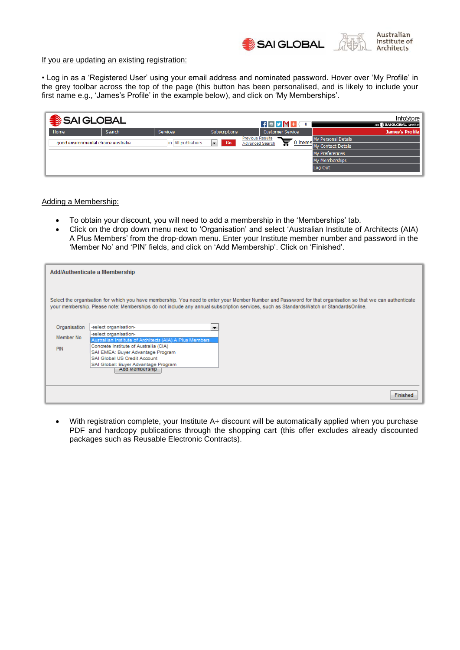



#### If you are updating an existing registration:

• Log in as a 'Registered User' using your email address and nominated password. Hover over 'My Profile' in the grey toolbar across the top of the page (this button has been personalised, and is likely to include your first name e.g., 'James's Profile' in the example below), and click on 'My Memberships'.

| SAI GLOBAL                          |               |                   |                      | $H$ $V$ $M$ + $V$       | $\bf{0}$ | InfoStore<br>an SAI GLOBAL service   |
|-------------------------------------|---------------|-------------------|----------------------|-------------------------|----------|--------------------------------------|
| Home                                | <b>Search</b> | Services          | Subscriptions        | <b>Customer Service</b> |          | <b>James's Profile</b>               |
| good environmental choice australia |               | in All publishers | Go<br>$\blacksquare$ | <b>Previous Results</b> |          | My Personal Details                  |
|                                     |               |                   |                      | <b>Advanced Search</b>  |          | <b>66</b> O Items My Contact Details |
|                                     |               |                   |                      |                         |          | My Preferences                       |
|                                     |               |                   |                      |                         |          | My Memberships                       |
|                                     |               |                   |                      |                         |          | Log Out                              |

Adding a Membership:

- To obtain your discount, you will need to add a membership in the 'Memberships' tab.
- Click on the drop down menu next to 'Organisation' and select 'Australian Institute of Architects (AIA) A Plus Members' from the drop-down menu. Enter your Institute member number and password in the 'Member No' and 'PIN' fields, and click on 'Add Membership'. Click on 'Finished'.

|              | Add/Authenticate a Membership                                                                                                                                                                                                                                                                       |
|--------------|-----------------------------------------------------------------------------------------------------------------------------------------------------------------------------------------------------------------------------------------------------------------------------------------------------|
|              | Select the organisation for which you have membership. You need to enter your Member Number and Password for that organisation so that we can authenticate<br>your membership. Please note: Memberships do not include any annual subscription services, such as StandardsWatch or StandardsOnline. |
| Organisation | -select organisation-<br>▼                                                                                                                                                                                                                                                                          |
| Member No    | -select organisation-                                                                                                                                                                                                                                                                               |
| PIN          | Australian Institute of Architects (AIA) A Plus Members<br>Concrete Institute of Australia (CIA)<br>SAI EMEA: Buyer Advantage Program                                                                                                                                                               |
|              | SAI Global US Credit Account                                                                                                                                                                                                                                                                        |
|              | SAI Global: Buyer Advantage Program<br>Add Membership                                                                                                                                                                                                                                               |
|              |                                                                                                                                                                                                                                                                                                     |
|              |                                                                                                                                                                                                                                                                                                     |
|              | Finished                                                                                                                                                                                                                                                                                            |

 With registration complete, your Institute A+ discount will be automatically applied when you purchase PDF and hardcopy publications through the shopping cart (this offer excludes already discounted packages such as Reusable Electronic Contracts).